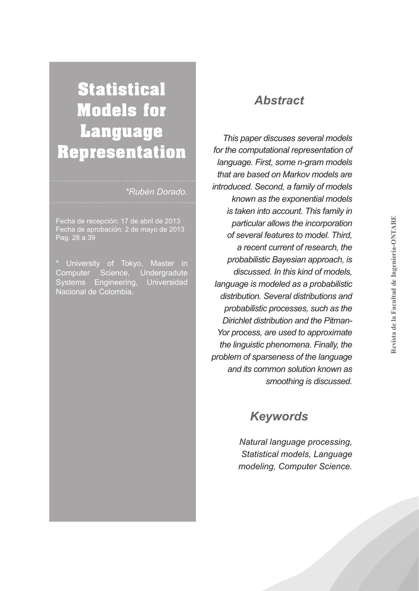# **Statistical Models for Language Representation**

#### *\*Rubén Dorado.*

Fecha de recepción: 17 de abril de 2013 Pag. 28 a 39

University of Tokyo, Master in Computer Science, Undergradute Systems Engineering, Universidad Nacional de Colombia.

#### *Abstract*

*This paper discuses several models for the computational representation of language. First, some n-gram models that are based on Markov models are introduced. Second, a family of models known as the exponential models is taken into account. This family in particular allows the incorporation of several features to model. Third, a recent current of research, the probabilistic Bayesian approach, is discussed. In this kind of models, language is modeled as a probabilistic distribution. Several distributions and probabilistic processes, such as the Dirichlet distribution and the Pitman-Yor process, are used to approximate the linguistic phenomena. Finally, the problem of sparseness of the language and its common solution known as smoothing is discussed.* 

### *Keywords*

*Natural language processing, Statistical models, Language modeling, Computer Science.*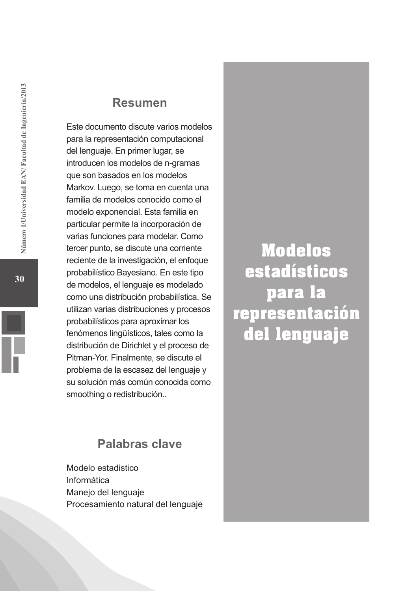#### **Resumen**

Este documento discute varios modelos para la representación computacional del lenguaje. En primer lugar, se introducen los modelos de n-gramas que son basados en los modelos Markov. Luego, se toma en cuenta una familia de modelos conocido como el modelo exponencial. Esta familia en particular permite la incorporación de varias funciones para modelar. Como tercer punto, se discute una corriente reciente de la investigación, el enfoque probabilístico Bayesiano. En este tipo de modelos, el lenguaje es modelado como una distribución probabilística. Se utilizan varias distribuciones y procesos probabilísticos para aproximar los fenómenos lingüísticos, tales como la distribución de Dirichlet y el proceso de Pitman-Yor. Finalmente, se discute el problema de la escasez del lenguaje y su solución más común conocida como smoothing o redistribución..

**Modelos estadísticos para la representación del lenguaje**

### **Palabras clave**

Modelo estadistico Informática Manejo del lenguaje Procesamiento natural del lenguaje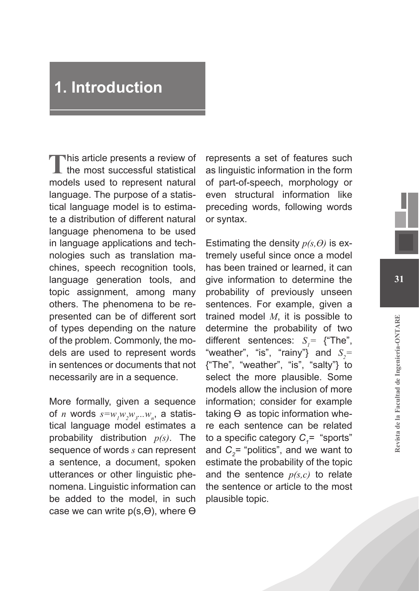## **1. Introduction**

This article presents a review of the most successful statistical models used to represent natural language. The purpose of a statistical language model is to estimate a distribution of different natural language phenomena to be used in language applications and technologies such as translation machines, speech recognition tools, language generation tools, and topic assignment, among many others. The phenomena to be represented can be of different sort of types depending on the nature of the problem. Commonly, the models are used to represent words in sentences or documents that not necessarily are in a sequence.

More formally, given a sequence of *n* words  $s = w_{_I}w_{_2}w_{_3}...w_{_n}$ , a statistical language model estimates a probability distribution *p(s)*. The sequence of words *s* can represent a sentence, a document, spoken utterances or other linguistic phenomena. Linguistic information can be added to the model, in such case we can write  $p(s,\Theta)$ , where  $\Theta$ 

represents a set of features such as linguistic information in the form of part-of-speech, morphology or even structural information like preceding words, following words or syntax.

Estimating the density *p(s,ϴ)* is extremely useful since once a model has been trained or learned, it can give information to determine the probability of previously unseen sentences. For example, given a trained model *M*, it is possible to determine the probability of two different sentences:  $S_i$ <sup>=</sup> {"The", "weather", "is", "rainy"} and  $S_2$ = {"The", "weather", "is", "salty"} to select the more plausible. Some models allow the inclusion of more information; consider for example taking  $\Theta$  as topic information where each sentence can be related to a specific category  $C_{\gamma}$ = "sports" and *C*<sub>2</sub>= "politics", and we want to estimate the probability of the topic and the sentence *p(s,c)* to relate the sentence or article to the most plausible topic.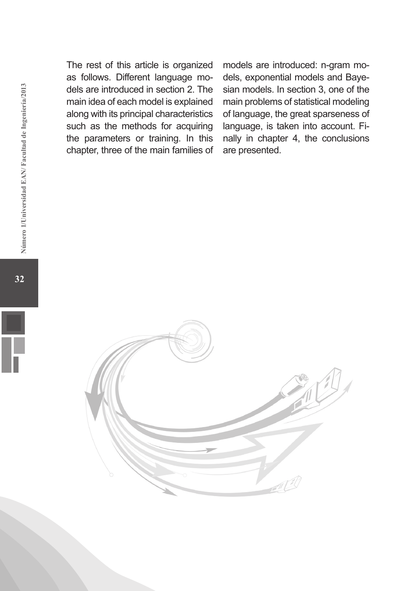The rest of this article is organized as follows. Different language models are introduced in section 2. The main idea of each model is explained along with its principal characteristics such as the methods for acquiring the parameters or training. In this chapter, three of the main families of models are introduced: n-gram models, exponential models and Bayesian models. In section 3, one of the main problems of statistical modeling of language, the great sparseness of language, is taken into account. Finally in chapter 4, the conclusions are presented.

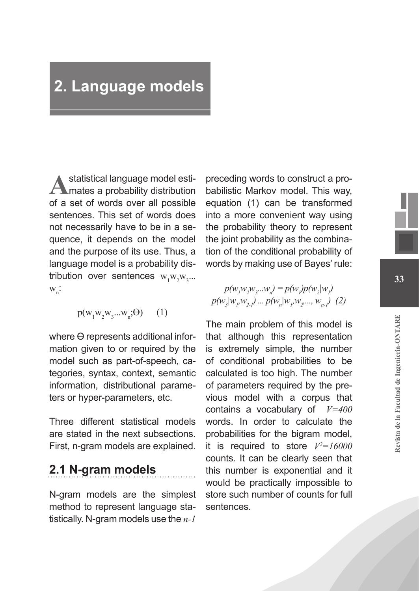## **2. Language models**

Astatistical language model esti-<br>
mates a probability distribution of a set of words over all possible sentences. This set of words does not necessarily have to be in a sequence, it depends on the model and the purpose of its use. Thus, a language model is a probability distribution over sentences  $w_1w_2w_3...$  $W_{n}$ :

 $p(w_1w_2w_3...w_n;\Theta)$  (1)

where ϴ represents additional information given to or required by the model such as part-of-speech, categories, syntax, context, semantic information, distributional parameters or hyper-parameters, etc.

Three different statistical models are stated in the next subsections. First, n-gram models are explained.

### **2.1 N-gram models**

N-gram models are the simplest method to represent language statistically. N-gram models use the *n-1*

preceding words to construct a probabilistic Markov model. This way, equation (1) can be transformed into a more convenient way using the probability theory to represent the joint probability as the combination of the conditional probability of words by making use of Bayes' rule:

 $p(w_1w_2w_3...w_n) = p(w_i)p(w_2|w_i)$  $p(w_3|w_1, w_2) \dots p(w_n|w_n, w_2, ..., w_{n-l})$  (2)

The main problem of this model is that although this representation is extremely simple, the number of conditional probabilities to be calculated is too high. The number of parameters required by the previous model with a corpus that contains a vocabulary of *V=400* words. In order to calculate the probabilities for the bigram model, it is required to store *V2 =16000* counts. It can be clearly seen that this number is exponential and it would be practically impossible to store such number of counts for full sentences.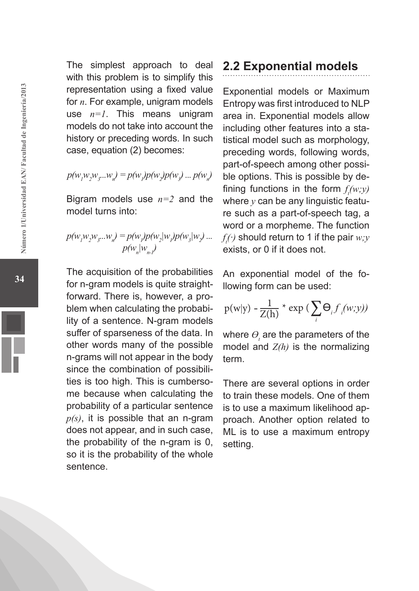The simplest approach to deal with this problem is to simplify this representation using a fixed value for *n*. For example, unigram models use  $n=1$ . This means unigram models do not take into account the history or preceding words. In such case, equation (2) becomes:

$$
p(w_1w_2w_3...w_n) = p(w_1)p(w_2)p(w_3)...p(w_n)
$$

Bigram models use *n=2* and the model turns into:

$$
p(w_1w_2w_3...w_n) = p(w_1)p(w_2|w_1)p(w_3|w_2)...
$$

$$
p(w_n|w_n)
$$

The acquisition of the probabilities for n-gram models is quite straightforward. There is, however, a problem when calculating the probability of a sentence. N-gram models suffer of sparseness of the data. In other words many of the possible n-grams will not appear in the body since the combination of possibilities is too high. This is cumbersome because when calculating the probability of a particular sentence *p(s)*, it is possible that an n-gram does not appear, and in such case, the probability of the n-gram is 0, so it is the probability of the whole sentence.

### **2.2 Exponential models**

Exponential models or Maximum Entropy was first introduced to NLP area in. Exponential models allow including other features into a statistical model such as morphology, preceding words, following words, part-of-speech among other possible options. This is possible by defining functions in the form *f (w;y)* where  $y$  can be any linguistic feature such as a part-of-speech tag, a word or a morpheme. The function *f t (·)* should return to 1 if the pair *w;y* exists, or 0 if it does not.

An exponential model of the following form can be used:

$$
p(w|y) - \frac{1}{Z(h)} * exp\left(\sum_{i} \Theta_{i} f_{i}(w, y)\right)
$$

where  $\theta_{_{t}}$  are the parameters of the model and *Z(h)* is the normalizing term.

There are several options in order to train these models. One of them is to use a maximum likelihood approach. Another option related to ML is to use a maximum entropy setting.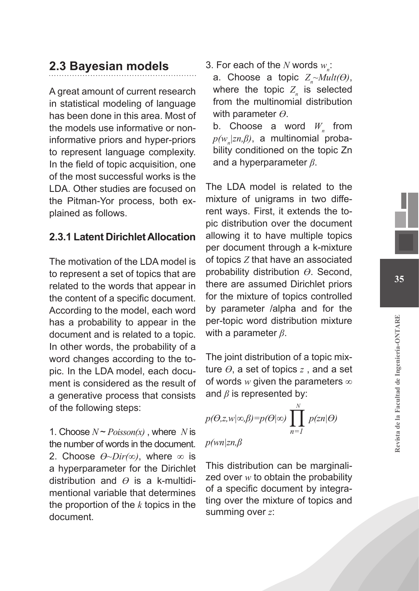### **2.3 Bayesian models**

A great amount of current research in statistical modeling of language has been done in this area. Most of the models use informative or noninformative priors and hyper-priors to represent language complexity. In the field of topic acquisition, one of the most successful works is the LDA. Other studies are focused on the Pitman-Yor process, both explained as follows.

#### **2.3.1 Latent Dirichlet Allocation**

The motivation of the LDA model is to represent a set of topics that are related to the words that appear in the content of a specific document. According to the model, each word has a probability to appear in the document and is related to a topic. In other words, the probability of a word changes according to the topic. In the LDA model, each document is considered as the result of a generative process that consists of the following steps:

1. Choose  $N \sim Poisson(x)$ , where *N* is the number of words in the document. 2. Choose *ϴ~Dir(∞)*, where *∞* is a hyperparameter for the Dirichlet distribution and *ϴ* is a k-multidimentional variable that determines the proportion of the *k* topics in the document.

3. For each of the  $N$  words  $w_{n}$ :

a. Choose a topic  $Z_n \sim Mult(\Theta)$ , where the topic  $Z_{n}$  is selected from the multinomial distribution with parameter *ϴ*.

b. Choose a word  $W_n$  from *p(wn |zn,β)*, a multinomial probability conditioned on the topic Zn and a hyperparameter *β*.

The LDA model is related to the mixture of unigrams in two different ways. First, it extends the topic distribution over the document allowing it to have multiple topics per document through a k-mixture of topics *Z* that have an associated probability distribution *ϴ*. Second, there are assumed Dirichlet priors for the mixture of topics controlled by parameter /alpha and for the per-topic word distribution mixture with a parameter *β*.

The joint distribution of a topic mixture *ϴ*, a set of topics *z* , and a set of words *w* given the parameters *∞* and *β* is represented by:

$$
p(\theta, z, w | \infty, \beta) = p(\theta | \infty) \prod_{n=1}^{N} p(\theta | \theta)
$$

*p(wn|zn,β*

This distribution can be marginalized over *w* to obtain the probability of a specific document by integrating over the mixture of topics and summing over *z*: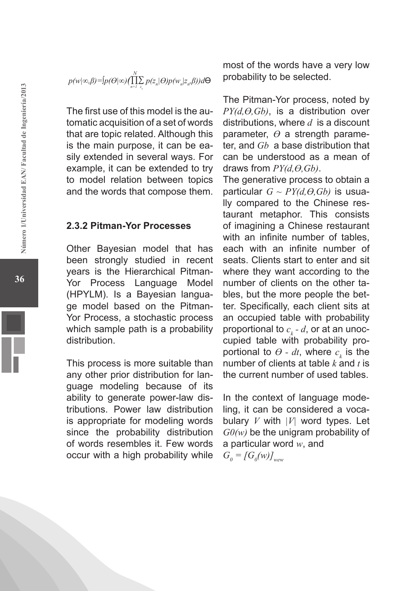$$
p(w|\infty,\beta) = [p(\Theta|\infty)(\prod_{n=1}^{N} \sum_{z_n} p(z_n|\Theta)p(w_n|z_n,\beta))d\Theta
$$

The first use of this model is the automatic acquisition of a set of words that are topic related. Although this is the main purpose, it can be easily extended in several ways. For example, it can be extended to try to model relation between topics and the words that compose them.

#### **2.3.2 Pitman-Yor Processes**

Other Bayesian model that has been strongly studied in recent years is the Hierarchical Pitman-Yor Process Language Model (HPYLM). Is a Bayesian language model based on the Pitman-Yor Process, a stochastic process which sample path is a probability distribution.

This process is more suitable than any other prior distribution for language modeling because of its ability to generate power-law distributions. Power law distribution is appropriate for modeling words since the probability distribution of words resembles it. Few words occur with a high probability while

most of the words have a very low probability to be selected.

The Pitman-Yor process, noted by *PY(d,ϴ,Gb)*, is a distribution over distributions, where *d* is a discount parameter, *ϴ* a strength parameter, and *Gb* a base distribution that can be understood as a mean of draws from *PY(d,ϴ,Gb)*.

The generative process to obtain a particular *G ~ PY(d,ϴ,Gb)* is usually compared to the Chinese restaurant metaphor. This consists of imagining a Chinese restaurant with an infinite number of tables, each with an infinite number of seats. Clients start to enter and sit where they want according to the number of clients on the other tables, but the more people the better. Specifically, each client sits at an occupied table with probability proportional to  $c_{_{k}}$  -  $d$ , or at an unoccupied table with probability proportional to  $\theta$  - dt, where  $c_k$  is the number of clients at table  $k$  and  $t$  is the current number of used tables.

In the context of language modeling, it can be considered a vocabulary *V* with *|V|* word types. Let *G0(w)* be the unigram probability of a particular word *w*, and  $G_{\theta} = [G_{\theta}(w)]_{w \in \mathbb{W}}$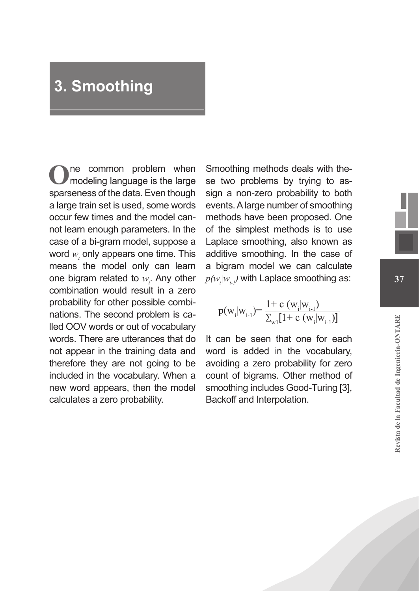## **3. Smoothing**

**O**ne common problem when modeling language is the large sparseness of the data. Even though a large train set is used, some words occur few times and the model cannot learn enough parameters. In the case of a bi-gram model, suppose a word  $w_t$  only appears one time. This means the model only can learn one bigram related to  $w_{i}$ . Any other combination would result in a zero probability for other possible combinations. The second problem is called OOV words or out of vocabulary words. There are utterances that do not appear in the training data and therefore they are not going to be included in the vocabulary. When a new word appears, then the model calculates a zero probability.

Smoothing methods deals with these two problems by trying to assign a non-zero probability to both events. A large number of smoothing methods have been proposed. One of the simplest methods is to use Laplace smoothing, also known as additive smoothing. In the case of a bigram model we can calculate  $p(w_{_{t}}|w_{_{t\text{-}I}})$  with Laplace smoothing as:

$$
p(w_i|w_{i-1}) = \frac{1 + c(w_i|w_{i-1})}{\sum_{w_i} [1 + c(w_i|w_{i-1})]}
$$

It can be seen that one for each word is added in the vocabulary, avoiding a zero probability for zero count of bigrams. Other method of smoothing includes Good-Turing [3], Backoff and Interpolation.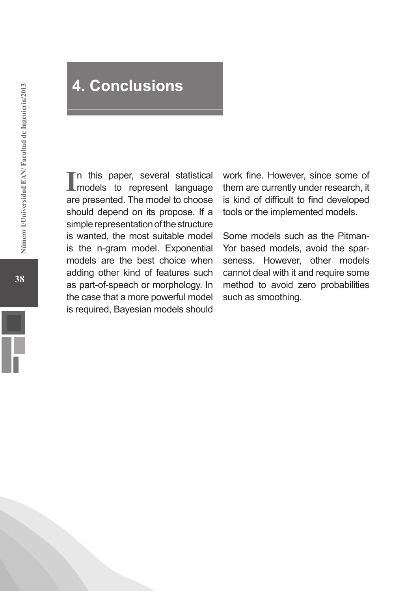## **4. Conclusions**

In this paper, several statistical<br>
models to represent language n this paper, several statistical are presented. The model to choose should depend on its propose. If a simple representation of the structure is wanted, the most suitable model is the n-gram model. Exponential models are the best choice when adding other kind of features such as part-of-speech or morphology. In the case that a more powerful model is required, Bayesian models should

work fine. However, since some of them are currently under research, it is kind of difficult to find developed tools or the implemented models.

Some models such as the Pitman-Yor based models, avoid the sparseness. However, other models cannot deal with it and require some method to avoid zero probabilities such as smoothing.